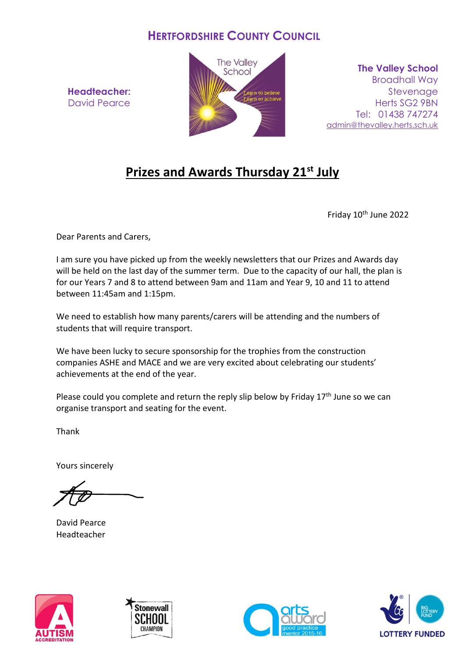## **HERTFORDSHIRE COUNTY COUNCIL**

**Headteacher:** David Pearce



**The Valley School** Broadhall Way **Stevenage** Herts SG2 9BN Tel: 01438 747274 [admin@thevalley.herts.sch.uk](mailto:admin@thevalley.herts.sch.uk)

## **Prizes and Awards Thursday 21st July**

Friday 10<sup>th</sup> June 2022

Dear Parents and Carers,

I am sure you have picked up from the weekly newsletters that our Prizes and Awards day will be held on the last day of the summer term. Due to the capacity of our hall, the plan is for our Years 7 and 8 to attend between 9am and 11am and Year 9, 10 and 11 to attend between 11:45am and 1:15pm.

We need to establish how many parents/carers will be attending and the numbers of students that will require transport.

We have been lucky to secure sponsorship for the trophies from the construction companies ASHE and MACE and we are very excited about celebrating our students' achievements at the end of the year.

Please could you complete and return the reply slip below by Friday 17<sup>th</sup> June so we can organise transport and seating for the event.

Thank

Yours sincerely

David Pearce Headteacher